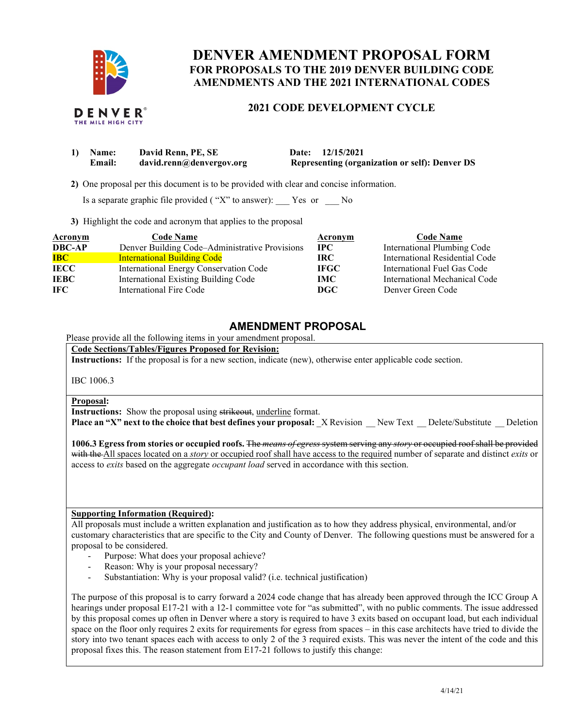

# **DENVER AMENDMENT PROPOSAL FORM AMENDMENTS AND THE 2021 INTERNATIONAL CODES FOR PROPOSALS TO THE 2019 DENVER BUILDING CODE**

 **2021 CODE DEVELOPMENT CYCLE** 

| 1) Name: | David Renn, PE, SE       | Date: 12/15/2021                                      |
|----------|--------------------------|-------------------------------------------------------|
| Email:   | david.renn@denvergov.org | <b>Representing (organization or self): Denver DS</b> |

**2)** One proposal per this document is to be provided with clear and concise information.

Is a separate graphic file provided ( "X" to answer): \_\_\_ Yes or \_\_\_ No

**3)** Highlight the code and acronym that applies to the proposal

| <b>Acronym</b> | <b>Code Name</b>                               | Acronym     | <b>Code Name</b>                   |
|----------------|------------------------------------------------|-------------|------------------------------------|
| <b>DBC-AP</b>  | Denver Building Code-Administrative Provisions | $\bf IPC$   | <b>International Plumbing Code</b> |
| <b>IBC</b>     | <b>International Building Code</b>             | IRC.        | International Residential Code     |
| <b>IECC</b>    | International Energy Conservation Code         | <b>IFGC</b> | International Fuel Gas Code        |
| <b>IEBC</b>    | International Existing Building Code           | IMC .       | International Mechanical Code      |
| <b>IFC</b>     | International Fire Code                        | DGC.        | Denver Green Code                  |

# **AMENDMENT PROPOSAL**

Please provide all the following items in your amendment proposal.

 **Code Sections/Tables/Figures Proposed for Revision:** 

**Instructions:** If the proposal is for a new section, indicate (new), otherwise enter applicable code section.

IBC 1006.3

## **Proposal:**

**Instructions:** Show the proposal using strikeout, underline format.

**Place an "X" next to the choice that best defines your proposal: \_X Revision \_\_ New Text \_\_ Delete/Substitute \_\_ Deletion** 

 **1006.3 Egress from stories or occupied roofs.** The *means of egress* system serving any *story* or occupied roof shall be provided with the All spaces located on a *story* or occupied roof shall have access to the required number of separate and distinct *exits* or access to *exits* based on the aggregate *occupant load* served in accordance with this section.

# **Supporting Information (Required):**

 All proposals must include a written explanation and justification as to how they address physical, environmental, and/or customary characteristics that are specific to the City and County of Denver. The following questions must be answered for a proposal to be considered.

- Purpose: What does your proposal achieve?
- Reason: Why is your proposal necessary?
- Substantiation: Why is your proposal valid? (i.e. technical justification)

 The purpose of this proposal is to carry forward a 2024 code change that has already been approved through the ICC Group A hearings under proposal E17-21 with a 12-1 committee vote for "as submitted", with no public comments. The issue addressed by this proposal comes up often in Denver where a story is required to have 3 exits based on occupant load, but each individual space on the floor only requires 2 exits for requirements for egress from spaces – in this case architects have tried to divide the story into two tenant spaces each with access to only 2 of the 3 required exists. This was never the intent of the code and this proposal fixes this. The reason statement from E17-21 follows to justify this change: